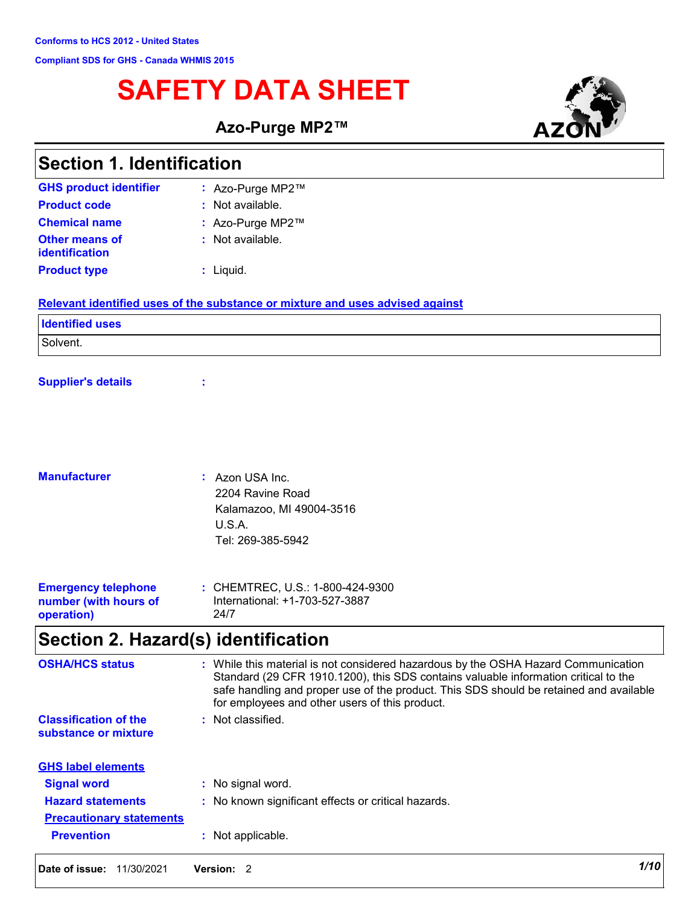## **SAFETY DATA SHEET**

**Azo-Purge MP2™**



| <b>Section 1. Identification</b>        |                                                                               |  |
|-----------------------------------------|-------------------------------------------------------------------------------|--|
| <b>GHS product identifier</b>           | : Azo-Purge MP2™                                                              |  |
| <b>Product code</b>                     | : Not available.                                                              |  |
| <b>Chemical name</b>                    | : Azo-Purge MP2™                                                              |  |
| <b>Other means of</b><br>identification | : Not available.                                                              |  |
| <b>Product type</b>                     | : Liquid.                                                                     |  |
|                                         | Relevant identified uses of the substance or mixture and uses advised against |  |
| <b>Identified uses</b>                  |                                                                               |  |
| Solvent.                                |                                                                               |  |
| <b>Supplier's details</b>               | ÷                                                                             |  |
| <b>Manufacturer</b>                     | : Azon USA Inc.                                                               |  |
|                                         | 2204 Ravine Road<br>Kalamazoo, MI 49004-3516<br>U.S.A.<br>Tel: 269-385-5942   |  |
| <b>Emergency telephone</b>              | : CHEMTREC, U.S.: 1-800-424-9300                                              |  |

## **Section 2. Hazard(s) identification**

24/7

**number (with hours of** 

**operation)**

| <b>OSHA/HCS status</b>                               | While this material is not considered hazardous by the OSHA Hazard Communication<br>÷.<br>Standard (29 CFR 1910.1200), this SDS contains valuable information critical to the<br>safe handling and proper use of the product. This SDS should be retained and available<br>for employees and other users of this product. |
|------------------------------------------------------|---------------------------------------------------------------------------------------------------------------------------------------------------------------------------------------------------------------------------------------------------------------------------------------------------------------------------|
| <b>Classification of the</b><br>substance or mixture | Not classified.<br>÷.                                                                                                                                                                                                                                                                                                     |
| <b>GHS label elements</b>                            |                                                                                                                                                                                                                                                                                                                           |
| <b>Signal word</b>                                   | : No signal word.                                                                                                                                                                                                                                                                                                         |
| <b>Hazard statements</b>                             | : No known significant effects or critical hazards.                                                                                                                                                                                                                                                                       |
| <b>Precautionary statements</b>                      |                                                                                                                                                                                                                                                                                                                           |
| <b>Prevention</b>                                    | : Not applicable.                                                                                                                                                                                                                                                                                                         |

International: +1-703-527-3887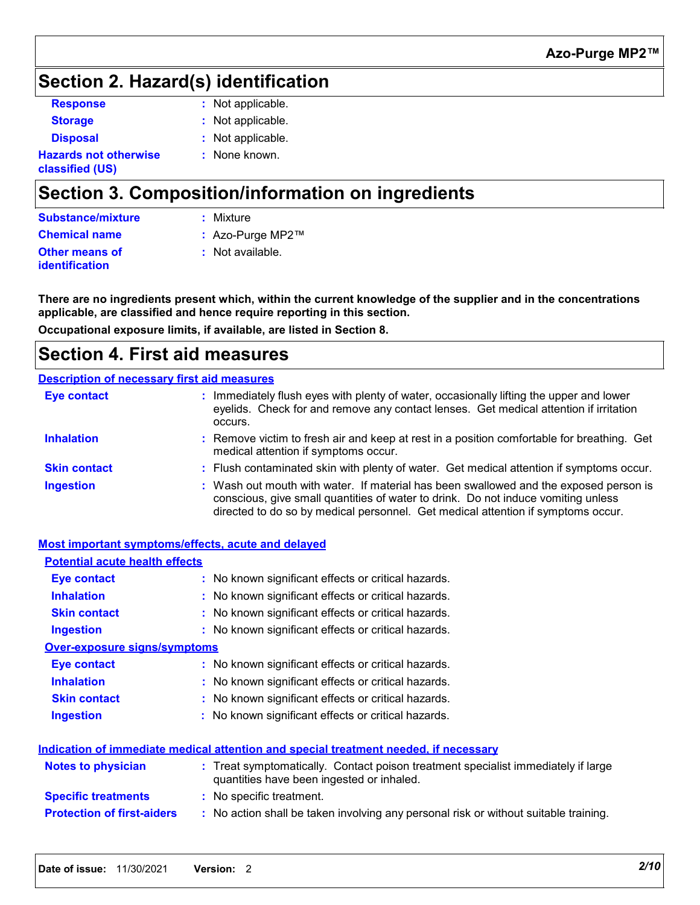### **Section 2. Hazard(s) identification**

| <b>Response</b>                                 | : Not applicable. |
|-------------------------------------------------|-------------------|
| <b>Storage</b>                                  | : Not applicable. |
| <b>Disposal</b>                                 | : Not applicable. |
| <b>Hazards not otherwise</b><br>classified (US) | : None known.     |

### **Section 3. Composition/information on ingredients**

| Substance/mixture                       | : Mixture        |
|-----------------------------------------|------------------|
| <b>Chemical name</b>                    | : Azo-Purge MP2™ |
| <b>Other means of</b><br>identification | : Not available. |

**There are no ingredients present which, within the current knowledge of the supplier and in the concentrations applicable, are classified and hence require reporting in this section.**

**Occupational exposure limits, if available, are listed in Section 8.**

### **Section 4. First aid measures**

#### **Description of necessary first aid measures**

| <b>Eye contact</b>  | : Immediately flush eyes with plenty of water, occasionally lifting the upper and lower<br>eyelids. Check for and remove any contact lenses. Get medical attention if irritation<br>occurs.                                                                    |
|---------------------|----------------------------------------------------------------------------------------------------------------------------------------------------------------------------------------------------------------------------------------------------------------|
| <b>Inhalation</b>   | : Remove victim to fresh air and keep at rest in a position comfortable for breathing. Get<br>medical attention if symptoms occur.                                                                                                                             |
| <b>Skin contact</b> | : Flush contaminated skin with plenty of water. Get medical attention if symptoms occur.                                                                                                                                                                       |
| <b>Ingestion</b>    | : Wash out mouth with water. If material has been swallowed and the exposed person is<br>conscious, give small quantities of water to drink. Do not induce vomiting unless<br>directed to do so by medical personnel. Get medical attention if symptoms occur. |

#### **Notes to physician <b>:** Treat symptomatically. Contact poison treatment specialist immediately if large quantities have been ingested or inhaled. **Specific treatments :** No specific treatment. **Most important symptoms/effects, acute and delayed Inhalation :** No known significant effects or critical hazards. **Ingestion because 1.1 The State of State Ingestion in State 1.1 No known significant effects or critical hazards. Skin contact :** No known significant effects or critical hazards. **Eye contact :** No known significant effects or critical hazards. **Over-exposure signs/symptoms Skin contact Ingestion Inhalation** No known significant effects or critical hazards. **:** No known significant effects or critical hazards. **:** No known significant effects or critical hazards. **: Eye contact :** No known significant effects or critical hazards. **Potential acute health effects Indication of immediate medical attention and special treatment needed, if necessary**

**Protection of first-aiders :** No action shall be taken involving any personal risk or without suitable training.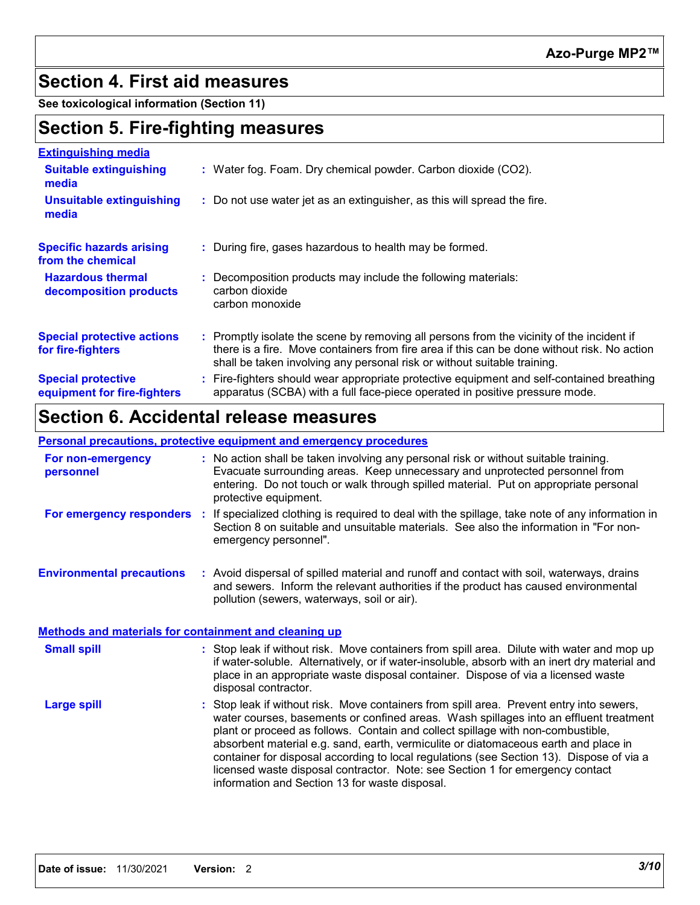### **Section 4. First aid measures**

**See toxicological information (Section 11)**

### **Section 5. Fire-fighting measures**

| <b>Extinguishing media</b>                               |                                                                                                                                                                                                                                                                      |
|----------------------------------------------------------|----------------------------------------------------------------------------------------------------------------------------------------------------------------------------------------------------------------------------------------------------------------------|
| <b>Suitable extinguishing</b><br>media                   | : Water fog. Foam. Dry chemical powder. Carbon dioxide (CO2).                                                                                                                                                                                                        |
| <b>Unsuitable extinguishing</b><br>media                 | : Do not use water jet as an extinguisher, as this will spread the fire.                                                                                                                                                                                             |
| <b>Specific hazards arising</b><br>from the chemical     | : During fire, gases hazardous to health may be formed.                                                                                                                                                                                                              |
| <b>Hazardous thermal</b><br>decomposition products       | Decomposition products may include the following materials:<br>carbon dioxide<br>carbon monoxide                                                                                                                                                                     |
| <b>Special protective actions</b><br>for fire-fighters   | : Promptly isolate the scene by removing all persons from the vicinity of the incident if<br>there is a fire. Move containers from fire area if this can be done without risk. No action<br>shall be taken involving any personal risk or without suitable training. |
| <b>Special protective</b><br>equipment for fire-fighters | Fire-fighters should wear appropriate protective equipment and self-contained breathing<br>apparatus (SCBA) with a full face-piece operated in positive pressure mode.                                                                                               |

### **Section 6. Accidental release measures**

**Personal precautions, protective equipment and emergency procedures**

|                                                              | <u>r croonar precaduono, protective equipment and emergency procedures</u>                                                                                                                                                                                                                                                                                                                                                                                                                                                                                                                 |
|--------------------------------------------------------------|--------------------------------------------------------------------------------------------------------------------------------------------------------------------------------------------------------------------------------------------------------------------------------------------------------------------------------------------------------------------------------------------------------------------------------------------------------------------------------------------------------------------------------------------------------------------------------------------|
| For non-emergency<br>personnel                               | : No action shall be taken involving any personal risk or without suitable training.<br>Evacuate surrounding areas. Keep unnecessary and unprotected personnel from<br>entering. Do not touch or walk through spilled material. Put on appropriate personal<br>protective equipment.                                                                                                                                                                                                                                                                                                       |
|                                                              | For emergency responders : If specialized clothing is required to deal with the spillage, take note of any information in<br>Section 8 on suitable and unsuitable materials. See also the information in "For non-<br>emergency personnel".                                                                                                                                                                                                                                                                                                                                                |
| <b>Environmental precautions</b>                             | : Avoid dispersal of spilled material and runoff and contact with soil, waterways, drains<br>and sewers. Inform the relevant authorities if the product has caused environmental<br>pollution (sewers, waterways, soil or air).                                                                                                                                                                                                                                                                                                                                                            |
| <b>Methods and materials for containment and cleaning up</b> |                                                                                                                                                                                                                                                                                                                                                                                                                                                                                                                                                                                            |
| <b>Small spill</b>                                           | : Stop leak if without risk. Move containers from spill area. Dilute with water and mop up<br>if water-soluble. Alternatively, or if water-insoluble, absorb with an inert dry material and<br>place in an appropriate waste disposal container. Dispose of via a licensed waste<br>disposal contractor.                                                                                                                                                                                                                                                                                   |
| <b>Large spill</b>                                           | : Stop leak if without risk. Move containers from spill area. Prevent entry into sewers,<br>water courses, basements or confined areas. Wash spillages into an effluent treatment<br>plant or proceed as follows. Contain and collect spillage with non-combustible,<br>absorbent material e.g. sand, earth, vermiculite or diatomaceous earth and place in<br>container for disposal according to local regulations (see Section 13). Dispose of via a<br>licensed waste disposal contractor. Note: see Section 1 for emergency contact<br>information and Section 13 for waste disposal. |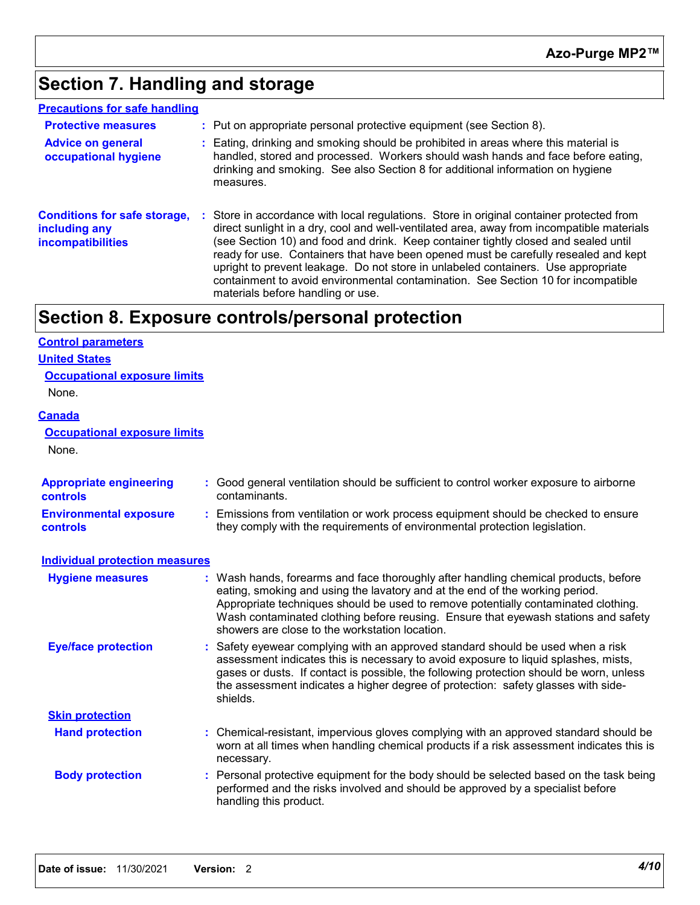## **Section 7. Handling and storage**

| <b>Precautions for safe handling</b>                                             |                                                                                                                                                                                                                                                                                                                                                                                                                                                                                                                                                                                  |
|----------------------------------------------------------------------------------|----------------------------------------------------------------------------------------------------------------------------------------------------------------------------------------------------------------------------------------------------------------------------------------------------------------------------------------------------------------------------------------------------------------------------------------------------------------------------------------------------------------------------------------------------------------------------------|
| <b>Protective measures</b>                                                       | : Put on appropriate personal protective equipment (see Section 8).                                                                                                                                                                                                                                                                                                                                                                                                                                                                                                              |
| <b>Advice on general</b><br>occupational hygiene                                 | : Eating, drinking and smoking should be prohibited in areas where this material is<br>handled, stored and processed. Workers should wash hands and face before eating,<br>drinking and smoking. See also Section 8 for additional information on hygiene<br>measures.                                                                                                                                                                                                                                                                                                           |
| <b>Conditions for safe storage,</b><br>including any<br><b>incompatibilities</b> | Store in accordance with local regulations. Store in original container protected from<br>direct sunlight in a dry, cool and well-ventilated area, away from incompatible materials<br>(see Section 10) and food and drink. Keep container tightly closed and sealed until<br>ready for use. Containers that have been opened must be carefully resealed and kept<br>upright to prevent leakage. Do not store in unlabeled containers. Use appropriate<br>containment to avoid environmental contamination. See Section 10 for incompatible<br>materials before handling or use. |

### **Section 8. Exposure controls/personal protection**

### **Control parameters**

| <b>United States</b>          |  |
|-------------------------------|--|
| Conventional avancesses limit |  |

| <u>Occupational exposure limits</u><br>None.     |                                                                                                                                                                                                                                                                                                                                                                                                 |
|--------------------------------------------------|-------------------------------------------------------------------------------------------------------------------------------------------------------------------------------------------------------------------------------------------------------------------------------------------------------------------------------------------------------------------------------------------------|
| <u>Canada</u>                                    |                                                                                                                                                                                                                                                                                                                                                                                                 |
| <b>Occupational exposure limits</b><br>None.     |                                                                                                                                                                                                                                                                                                                                                                                                 |
| <b>Appropriate engineering</b><br>controls       | Good general ventilation should be sufficient to control worker exposure to airborne<br>contaminants.                                                                                                                                                                                                                                                                                           |
| <b>Environmental exposure</b><br><b>controls</b> | : Emissions from ventilation or work process equipment should be checked to ensure<br>they comply with the requirements of environmental protection legislation.                                                                                                                                                                                                                                |
| <b>Individual protection measures</b>            |                                                                                                                                                                                                                                                                                                                                                                                                 |
| <b>Hygiene measures</b>                          | Wash hands, forearms and face thoroughly after handling chemical products, before<br>eating, smoking and using the lavatory and at the end of the working period.<br>Appropriate techniques should be used to remove potentially contaminated clothing.<br>Wash contaminated clothing before reusing. Ensure that eyewash stations and safety<br>showers are close to the workstation location. |
| <b>Eye/face protection</b>                       | Safety eyewear complying with an approved standard should be used when a risk<br>assessment indicates this is necessary to avoid exposure to liquid splashes, mists,<br>gases or dusts. If contact is possible, the following protection should be worn, unless<br>the assessment indicates a higher degree of protection: safety glasses with side-<br>shields.                                |
| <b>Skin protection</b>                           |                                                                                                                                                                                                                                                                                                                                                                                                 |
| <b>Hand protection</b>                           | : Chemical-resistant, impervious gloves complying with an approved standard should be<br>worn at all times when handling chemical products if a risk assessment indicates this is<br>necessary.                                                                                                                                                                                                 |
| <b>Body protection</b>                           | Personal protective equipment for the body should be selected based on the task being<br>performed and the risks involved and should be approved by a specialist before<br>handling this product.                                                                                                                                                                                               |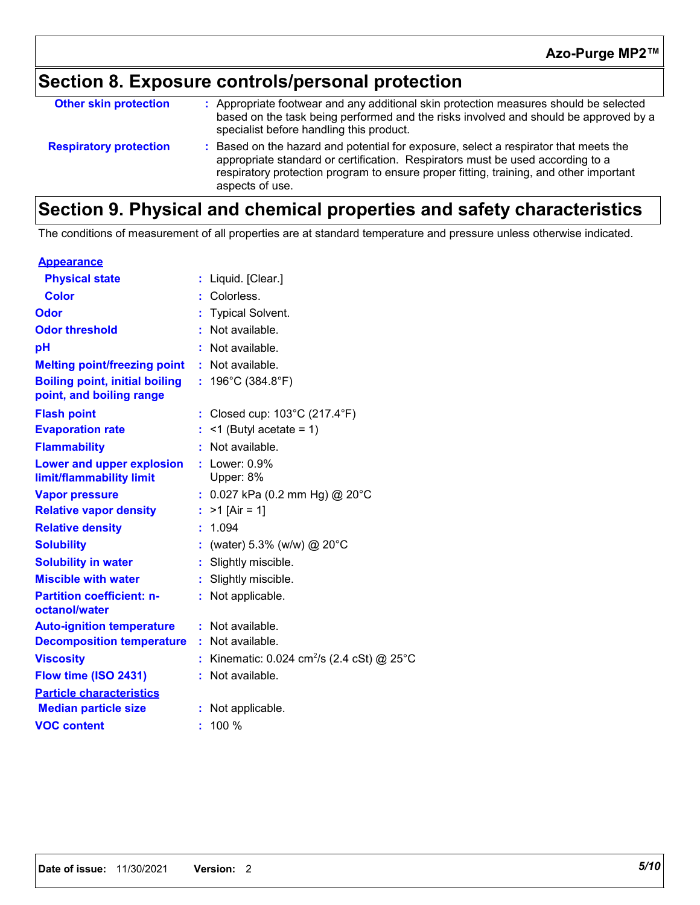## **Section 8. Exposure controls/personal protection**

| <b>Other skin protection</b>  | : Appropriate footwear and any additional skin protection measures should be selected<br>based on the task being performed and the risks involved and should be approved by a<br>specialist before handling this product.                                                         |
|-------------------------------|-----------------------------------------------------------------------------------------------------------------------------------------------------------------------------------------------------------------------------------------------------------------------------------|
| <b>Respiratory protection</b> | Based on the hazard and potential for exposure, select a respirator that meets the<br>appropriate standard or certification. Respirators must be used according to a<br>respiratory protection program to ensure proper fitting, training, and other important<br>aspects of use. |

### **Section 9. Physical and chemical properties and safety characteristics**

The conditions of measurement of all properties are at standard temperature and pressure unless otherwise indicated.

| <b>Appearance</b>                                                 |    |                                                      |
|-------------------------------------------------------------------|----|------------------------------------------------------|
| <b>Physical state</b>                                             |    | : Liquid. [Clear.]                                   |
| <b>Color</b>                                                      |    | Colorless.                                           |
| Odor                                                              |    | <b>Typical Solvent.</b>                              |
| <b>Odor threshold</b>                                             | ÷. | Not available.                                       |
| pH                                                                |    | Not available.                                       |
| <b>Melting point/freezing point</b>                               |    | : Not available.                                     |
| <b>Boiling point, initial boiling</b><br>point, and boiling range |    | : $196^{\circ}$ C (384.8 $^{\circ}$ F)               |
| <b>Flash point</b>                                                |    | : Closed cup: $103^{\circ}$ C (217.4 $^{\circ}$ F)   |
| <b>Evaporation rate</b>                                           |    | $:$ <1 (Butyl acetate = 1)                           |
| <b>Flammability</b>                                               |    | Not available.                                       |
| Lower and upper explosion<br>limit/flammability limit             |    | $:$ Lower: $0.9\%$<br>Upper: 8%                      |
| <b>Vapor pressure</b>                                             |    | : $0.027$ kPa (0.2 mm Hg) @ 20°C                     |
| <b>Relative vapor density</b>                                     |    | $>1$ [Air = 1]                                       |
| <b>Relative density</b>                                           | ÷. | 1.094                                                |
| <b>Solubility</b>                                                 |    | (water) 5.3% (w/w) $@$ 20°C                          |
| <b>Solubility in water</b>                                        | ÷. | Slightly miscible.                                   |
| <b>Miscible with water</b>                                        | ÷. | Slightly miscible.                                   |
| <b>Partition coefficient: n-</b><br>octanol/water                 |    | : Not applicable.                                    |
| <b>Auto-ignition temperature</b>                                  |    | : Not available.                                     |
| <b>Decomposition temperature</b>                                  | ÷. | Not available.                                       |
| <b>Viscosity</b>                                                  |    | Kinematic: 0.024 cm <sup>2</sup> /s (2.4 cSt) @ 25°C |
| Flow time (ISO 2431)                                              | ÷. | Not available.                                       |
| <b>Particle characteristics</b>                                   |    |                                                      |
| <b>Median particle size</b>                                       |    | : Not applicable.                                    |
| <b>VOC content</b>                                                |    | $: 100 \%$                                           |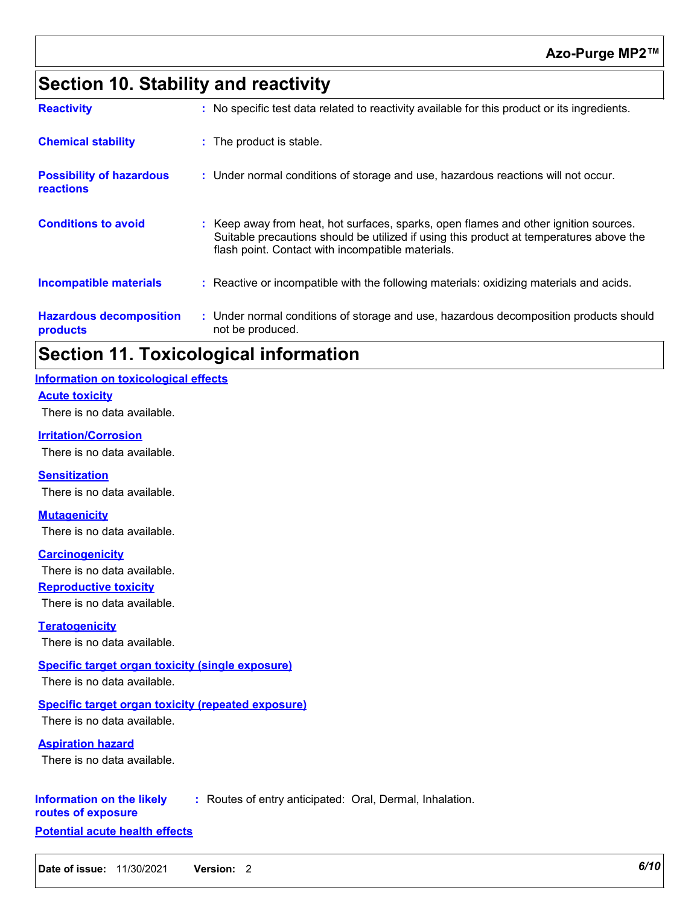### **Azo-Purge MP2™**

### **Section 10. Stability and reactivity**

| <b>Hazardous decomposition</b><br>products          | : Under normal conditions of storage and use, hazardous decomposition products should<br>not be produced.                                                                                                                          |  |
|-----------------------------------------------------|------------------------------------------------------------------------------------------------------------------------------------------------------------------------------------------------------------------------------------|--|
| <b>Incompatible materials</b>                       | : Reactive or incompatible with the following materials: oxidizing materials and acids.                                                                                                                                            |  |
| <b>Conditions to avoid</b>                          | Keep away from heat, hot surfaces, sparks, open flames and other ignition sources.<br>Suitable precautions should be utilized if using this product at temperatures above the<br>flash point. Contact with incompatible materials. |  |
| <b>Possibility of hazardous</b><br><b>reactions</b> | : Under normal conditions of storage and use, hazardous reactions will not occur.                                                                                                                                                  |  |
| <b>Chemical stability</b>                           | : The product is stable.                                                                                                                                                                                                           |  |
| <b>Reactivity</b>                                   | : No specific test data related to reactivity available for this product or its ingredients.                                                                                                                                       |  |

### **Section 11. Toxicological information**

#### **Information on toxicological effects**

#### **Acute toxicity**

There is no data available.

#### **Irritation/Corrosion**

There is no data available.

**Sensitization** There is no data available.

#### **Mutagenicity**

There is no data available.

**Carcinogenicity**

There is no data available.

**Reproductive toxicity**

There is no data available.

**Teratogenicity** There is no data available.

#### **Specific target organ toxicity (single exposure)**

There is no data available.

#### **Specific target organ toxicity (repeated exposure)**

There is no data available.

**Aspiration hazard**

There is no data available.

#### **Information on the likely :** Routes of entry anticipated: Oral, Dermal, Inhalation.

**routes of exposure**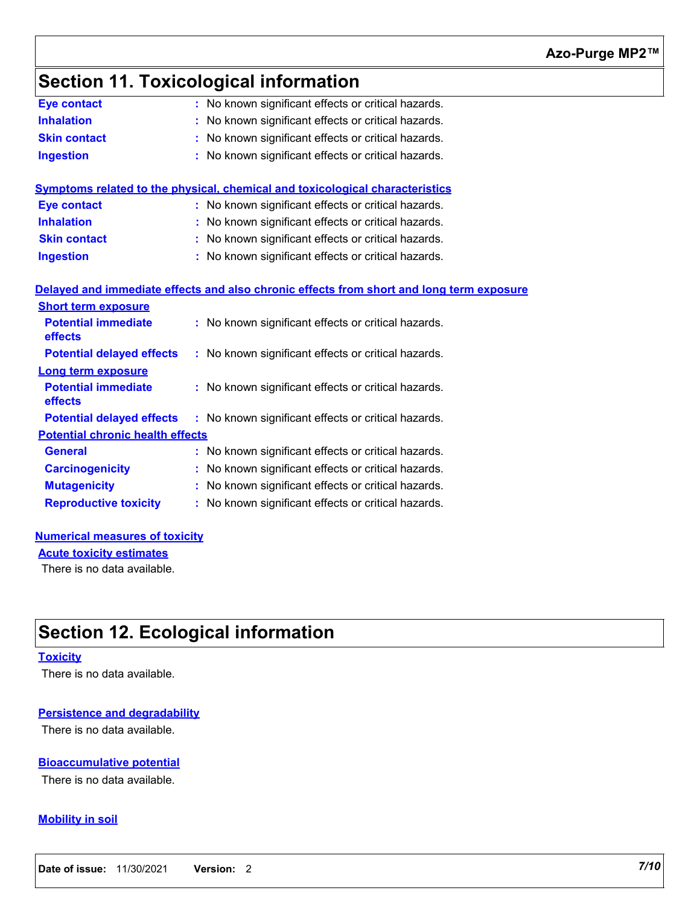## **Section 11. Toxicological information**

| <b>Eye contact</b>                      | : No known significant effects or critical hazards.                                      |
|-----------------------------------------|------------------------------------------------------------------------------------------|
| <b>Inhalation</b>                       | No known significant effects or critical hazards.                                        |
| <b>Skin contact</b>                     | No known significant effects or critical hazards.                                        |
| <b>Ingestion</b>                        | No known significant effects or critical hazards.                                        |
|                                         |                                                                                          |
|                                         | Symptoms related to the physical, chemical and toxicological characteristics             |
| <b>Eye contact</b>                      | : No known significant effects or critical hazards.                                      |
| <b>Inhalation</b>                       | No known significant effects or critical hazards.                                        |
| <b>Skin contact</b>                     | No known significant effects or critical hazards.                                        |
| <b>Ingestion</b>                        | No known significant effects or critical hazards.                                        |
|                                         |                                                                                          |
|                                         | Delayed and immediate effects and also chronic effects from short and long term exposure |
| <b>Short term exposure</b>              |                                                                                          |
| <b>Potential immediate</b><br>effects   | : No known significant effects or critical hazards.                                      |
| <b>Potential delayed effects</b>        | : No known significant effects or critical hazards.                                      |
| <b>Long term exposure</b>               |                                                                                          |
| <b>Potential immediate</b><br>effects   | : No known significant effects or critical hazards.                                      |
| <b>Potential delayed effects</b>        | : No known significant effects or critical hazards.                                      |
| <b>Potential chronic health effects</b> |                                                                                          |
| <b>General</b>                          | : No known significant effects or critical hazards.                                      |
| <b>Carcinogenicity</b>                  | No known significant effects or critical hazards.                                        |
| <b>Mutagenicity</b>                     | No known significant effects or critical hazards.                                        |
| <b>Reproductive toxicity</b>            | No known significant effects or critical hazards.                                        |
|                                         |                                                                                          |
|                                         |                                                                                          |

#### **Numerical measures of toxicity**

**Acute toxicity estimates**

There is no data available.

### **Section 12. Ecological information**

#### **Toxicity**

There is no data available.

#### **Persistence and degradability**

There is no data available.

#### **Bioaccumulative potential**

There is no data available.

#### **Mobility in soil**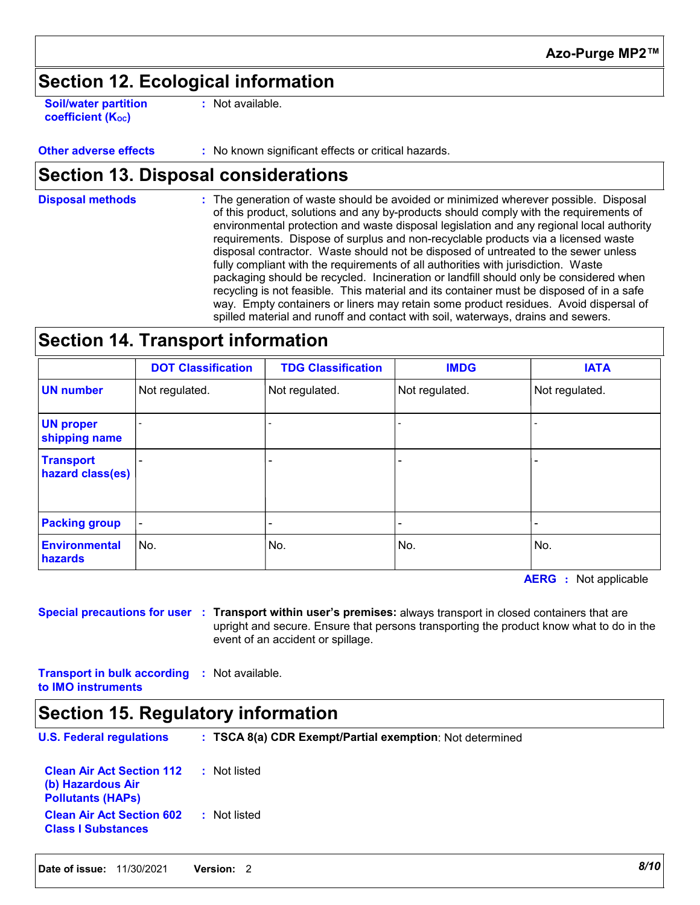### **Section 12. Ecological information**

**Soil/water partition coefficient (Koc)** 

**:** Not available.

**Other adverse effects** : No known significant effects or critical hazards.

### **Section 13. Disposal considerations**

The generation of waste should be avoided or minimized wherever possible. Disposal of this product, solutions and any by-products should comply with the requirements of environmental protection and waste disposal legislation and any regional local authority requirements. Dispose of surplus and non-recyclable products via a licensed waste disposal contractor. Waste should not be disposed of untreated to the sewer unless fully compliant with the requirements of all authorities with jurisdiction. Waste packaging should be recycled. Incineration or landfill should only be considered when recycling is not feasible. This material and its container must be disposed of in a safe way. Empty containers or liners may retain some product residues. Avoid dispersal of spilled material and runoff and contact with soil, waterways, drains and sewers. **Disposal methods :**

### **Section 14. Transport information**

|                                      | <b>DOT Classification</b> | <b>TDG Classification</b> | <b>IMDG</b>    | <b>IATA</b>    |
|--------------------------------------|---------------------------|---------------------------|----------------|----------------|
| <b>UN number</b>                     | Not regulated.            | Not regulated.            | Not regulated. | Not regulated. |
| <b>UN proper</b><br>shipping name    |                           |                           |                |                |
| <b>Transport</b><br>hazard class(es) |                           |                           |                |                |
| <b>Packing group</b>                 | $\overline{\phantom{a}}$  |                           |                |                |
| <b>Environmental</b><br>hazards      | No.                       | No.                       | No.            | No.            |

**AERG** : Not applicable

**Special precautions for user Transport within user's premises:** always transport in closed containers that are **:** upright and secure. Ensure that persons transporting the product know what to do in the event of an accident or spillage.

**Transport in bulk according :** Not available. **to IMO instruments**

### **Section 15. Regulatory information**

**U.S. Federal regulations : Clean Air Act Section 112 (b) Hazardous Air :** Not listed **TSCA 8(a) CDR Exempt/Partial exemption**: Not determined

**Pollutants (HAPs) Clean Air Act Section 602 Class I Substances :** Not listed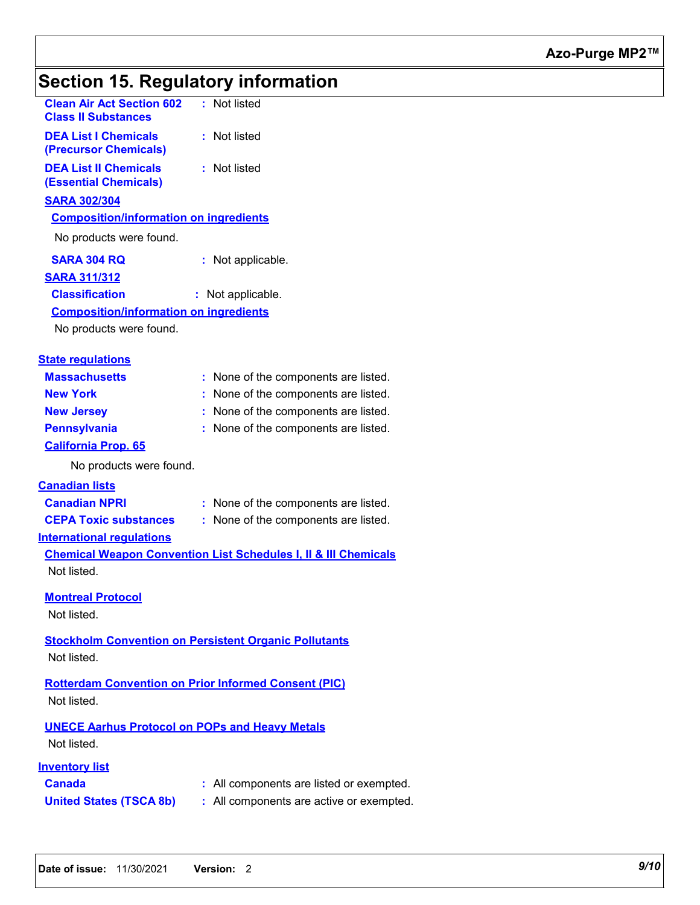# **Section 15. Regulatory information**

| <b>Clean Air Act Section 602</b><br><b>Class II Substances</b>       | : Not listed                                                               |
|----------------------------------------------------------------------|----------------------------------------------------------------------------|
| <b>DEA List I Chemicals</b><br>(Precursor Chemicals)                 | : Not listed                                                               |
| <b>DEA List II Chemicals</b><br><b>(Essential Chemicals)</b>         | : Not listed                                                               |
| <b>SARA 302/304</b>                                                  |                                                                            |
| <b>Composition/information on ingredients</b>                        |                                                                            |
| No products were found.                                              |                                                                            |
| <b>SARA 304 RQ</b>                                                   | : Not applicable.                                                          |
| <b>SARA 311/312</b>                                                  |                                                                            |
| <b>Classification</b>                                                | : Not applicable.                                                          |
| <b>Composition/information on ingredients</b>                        |                                                                            |
| No products were found.                                              |                                                                            |
| <b>State regulations</b>                                             |                                                                            |
| <b>Massachusetts</b>                                                 | : None of the components are listed.                                       |
| <b>New York</b>                                                      | None of the components are listed.                                         |
| <b>New Jersey</b>                                                    | : None of the components are listed.                                       |
| <b>Pennsylvania</b>                                                  | : None of the components are listed.                                       |
| <b>California Prop. 65</b>                                           |                                                                            |
| No products were found.                                              |                                                                            |
| <b>Canadian lists</b>                                                |                                                                            |
| <b>Canadian NPRI</b>                                                 | : None of the components are listed.                                       |
| <b>CEPA Toxic substances</b>                                         | : None of the components are listed.                                       |
| <b>International regulations</b>                                     |                                                                            |
| Not listed.                                                          | <b>Chemical Weapon Convention List Schedules I, II &amp; III Chemicals</b> |
| <b>Montreal Protocol</b><br>Not listed.                              |                                                                            |
|                                                                      |                                                                            |
| Not listed.                                                          | <b>Stockholm Convention on Persistent Organic Pollutants</b>               |
| Not listed.                                                          | <b>Rotterdam Convention on Prior Informed Consent (PIC)</b>                |
|                                                                      |                                                                            |
| <b>UNECE Aarhus Protocol on POPs and Heavy Metals</b><br>Not listed. |                                                                            |
| <u>Inventory list</u>                                                |                                                                            |
| <b>Canada</b>                                                        | All components are listed or exempted.                                     |
| <b>United States (TSCA 8b)</b>                                       | : All components are active or exempted.                                   |
|                                                                      |                                                                            |